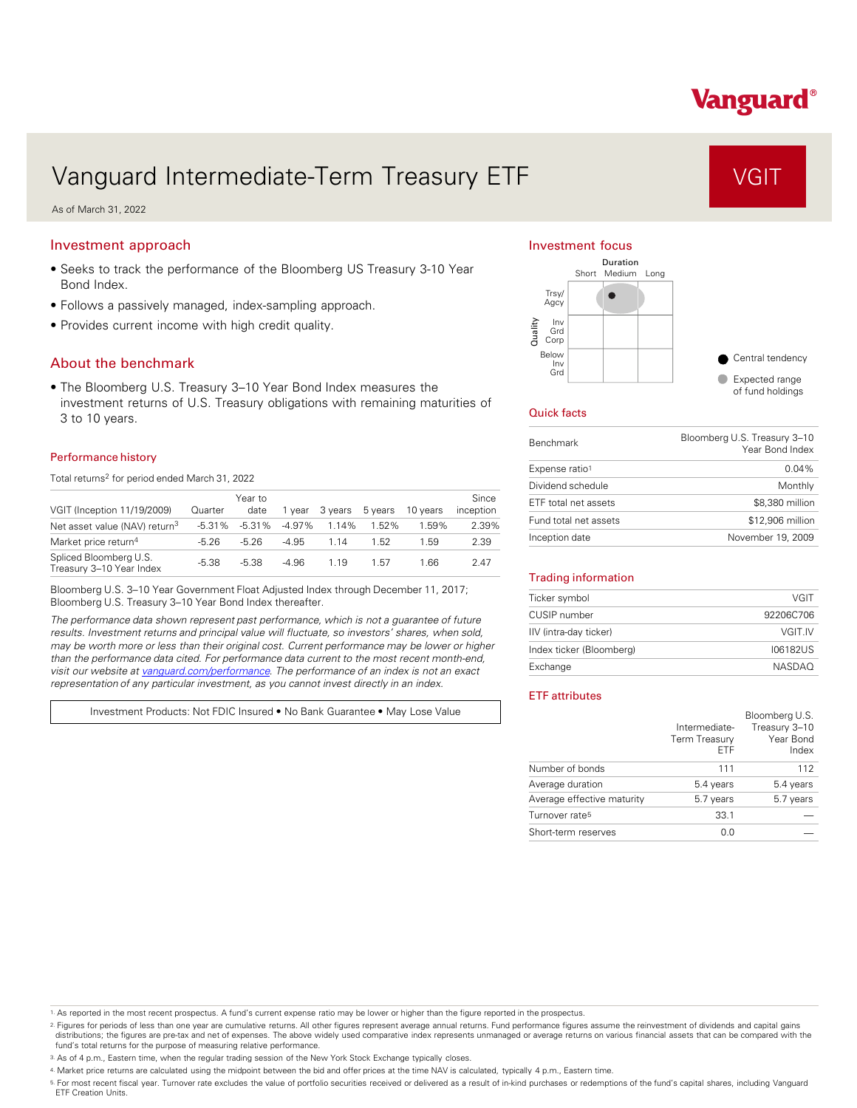# Vanguard®

# Vanguard Intermediate-Term Treasury ETF VGIT

As of March 31, 2022

## Investment approach

- Seeks to track the performance of the Bloomberg US Treasury 3-10 Year Bond Index.
- Follows a passively managed, index-sampling approach.
- Provides current income with high credit quality.

### About the benchmark

• The Bloomberg U.S. Treasury 3–10 Year Bond Index measures the investment returns of U.S. Treasury obligations with remaining maturities of 3 to 10 years.

#### Performance history

Total returns<sup>2</sup> for period ended March 31, 2022

|                                                    |           | Year to  |          |         |         |          | Since     |
|----------------------------------------------------|-----------|----------|----------|---------|---------|----------|-----------|
| VGIT (Inception 11/19/2009)                        | Quarter   | date     | 1 vear   | 3 vears | 5 years | 10 years | inception |
| Net asset value (NAV) return <sup>3</sup>          | $-5.31\%$ | $-5.31%$ | $-4.97%$ | 1.14%   | 1.52%   | 1.59%    | 2.39%     |
| Market price return <sup>4</sup>                   | $-5.26$   | $-5.26$  | $-4.95$  | 114     | 1.52    | 1.59     | 2.39      |
| Spliced Bloomberg U.S.<br>Treasury 3-10 Year Index | $-5.38$   | $-5.38$  | $-4.96$  | 1.19    | 1.57    | 1.66     | 2.47      |

Bloomberg U.S. 3–10 Year Government Float Adjusted Index through December 11, 2017; Bloomberg U.S. Treasury 3–10 Year Bond Index thereafter.

*The performance data shown represent past performance, which is not a guarantee of future results. Investment returns and principal value will fluctuate, so investors' shares, when sold, may be worth more or less than their original cost. Current performance may be lower or higher than the performance data cited. For performance data current to the most recent month-end, visit our website at [vanguard.com/performance .](http://www.vanguard.com/performance) The performance of an index is not an exact representation of any particular investment, as you cannot invest directly in an index.* 

Investment Products: Not FDIC Insured • No Bank Guarantee • May Lose Value

#### Investment focus



#### Quick facts

| <b>Benchmark</b>      | Bloomberg U.S. Treasury 3-10<br>Year Bond Index |
|-----------------------|-------------------------------------------------|
| Expense ratio1        | $0.04\%$                                        |
| Dividend schedule     | Monthly                                         |
| ETF total net assets  | \$8,380 million                                 |
| Fund total net assets | \$12,906 million                                |
| Inception date        | November 19, 2009                               |

#### Trading information

| Ticker symbol            | VGIT          |
|--------------------------|---------------|
| CUSIP number             | 92206C706     |
| IIV (intra-day ticker)   | VGIT.IV       |
| Index ticker (Bloomberg) | 106182US      |
| Exchange                 | <b>NASDAO</b> |

### ETF attributes

|                            | Intermediate-<br>Term Treasury<br>FTF | Bloomberg U.S.<br>Treasury 3-10<br>Year Bond<br>Index |
|----------------------------|---------------------------------------|-------------------------------------------------------|
| Number of bonds            | 111                                   | 112                                                   |
| Average duration           | 5.4 years                             | 5.4 years                                             |
| Average effective maturity | 5.7 years                             | 5.7 years                                             |
| Turnover rate <sup>5</sup> | 33.1                                  |                                                       |
| Short-term reserves        | 0.0                                   |                                                       |

1. As reported in the most recent prospectus. A fund's current expense ratio may be lower or higher than the figure reported in the prospectus.

2. Figures for periods of less than one year are cumulative returns. All other figures represent average annual returns. Fund performance figures assume the reinvestment of dividends and capital gains distributions; the figures are pre-tax and net of expenses. The above widely used comparative index represents unmanaged or average returns on various financial assets that can be compared with the<br>fund's total returns for

3. As of 4 p.m., Eastern time, when the regular trading session of the New York Stock Exchange typically closes.

4. Market price returns are calculated using the midpoint between the bid and offer prices at the time NAV is calculated, typically 4 p.m., Eastern time.

<sup>5.</sup> For most recent fiscal year. Turnover rate excludes the value of portfolio securities received or delivered as a result of in-kind purchases or redemptions of the fund's capital shares, including Vanguard<br>ETF Creation